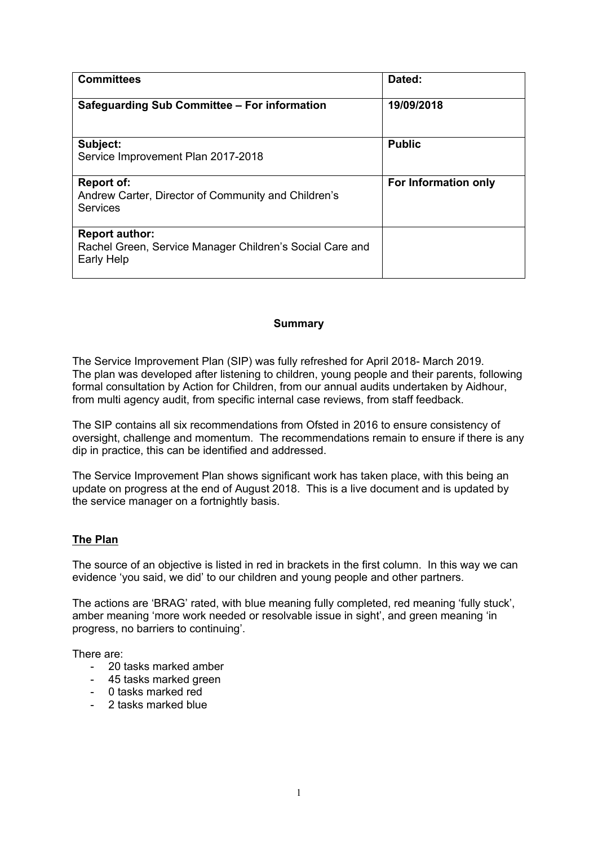| <b>Committees</b>                                                                               | Dated:               |
|-------------------------------------------------------------------------------------------------|----------------------|
| Safeguarding Sub Committee - For information                                                    | 19/09/2018           |
| Subject:<br>Service Improvement Plan 2017-2018                                                  | <b>Public</b>        |
| <b>Report of:</b><br>Andrew Carter, Director of Community and Children's<br><b>Services</b>     | For Information only |
| <b>Report author:</b><br>Rachel Green, Service Manager Children's Social Care and<br>Early Help |                      |

## **Summary**

The Service Improvement Plan (SIP) was fully refreshed for April 2018- March 2019. The plan was developed after listening to children, young people and their parents, following formal consultation by Action for Children, from our annual audits undertaken by Aidhour, from multi agency audit, from specific internal case reviews, from staff feedback.

The SIP contains all six recommendations from Ofsted in 2016 to ensure consistency of oversight, challenge and momentum. The recommendations remain to ensure if there is any dip in practice, this can be identified and addressed.

The Service Improvement Plan shows significant work has taken place, with this being an update on progress at the end of August 2018. This is a live document and is updated by the service manager on a fortnightly basis.

## **The Plan**

The source of an objective is listed in red in brackets in the first column. In this way we can evidence 'you said, we did' to our children and young people and other partners.

The actions are 'BRAG' rated, with blue meaning fully completed, red meaning 'fully stuck', amber meaning 'more work needed or resolvable issue in sight', and green meaning 'in progress, no barriers to continuing'.

There are:

- 20 tasks marked amber
- 45 tasks marked green
- 0 tasks marked red
- 2 tasks marked blue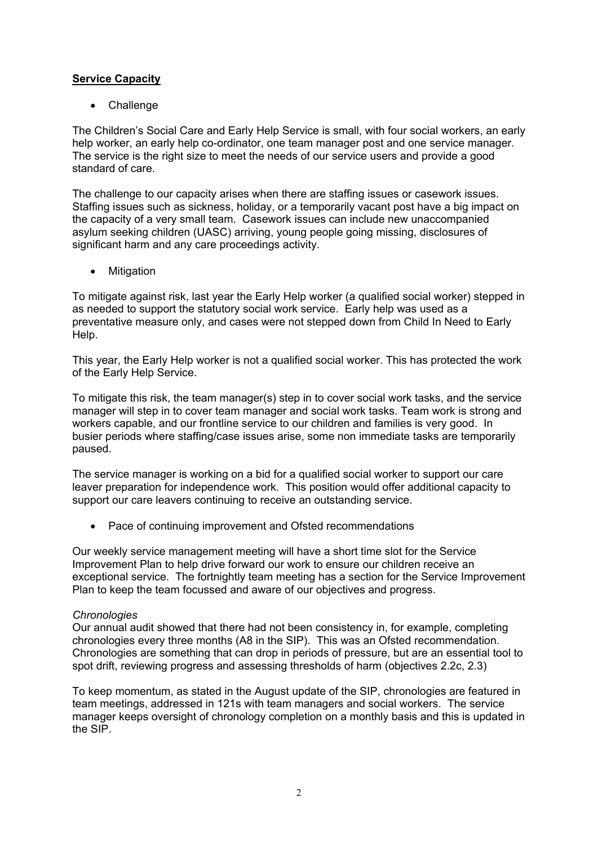# **Service Capacity**

Challenge

The Children's Social Care and Early Help Service is small, with four social workers, an early help worker, an early help co-ordinator, one team manager post and one service manager. The service is the right size to meet the needs of our service users and provide a good standard of care.

The challenge to our capacity arises when there are staffing issues or casework issues. Staffing issues such as sickness, holiday, or a temporarily vacant post have a big impact on the capacity of a very small team. Casework issues can include new unaccompanied asylum seeking children (UASC) arriving, young people going missing, disclosures of significant harm and any care proceedings activity.

Mitigation

To mitigate against risk, last year the Early Help worker (a qualified social worker) stepped in as needed to support the statutory social work service. Early help was used as a preventative measure only, and cases were not stepped down from Child In Need to Early Help.

This year, the Early Help worker is not a qualified social worker. This has protected the work of the Early Help Service.

To mitigate this risk, the team manager(s) step in to cover social work tasks, and the service manager will step in to cover team manager and social work tasks. Team work is strong and workers capable, and our frontline service to our children and families is very good. In busier periods where staffing/case issues arise, some non immediate tasks are temporarily paused.

The service manager is working on a bid for a qualified social worker to support our care leaver preparation for independence work. This position would offer additional capacity to support our care leavers continuing to receive an outstanding service.

• Pace of continuing improvement and Ofsted recommendations

Our weekly service management meeting will have a short time slot for the Service Improvement Plan to help drive forward our work to ensure our children receive an exceptional service. The fortnightly team meeting has a section for the Service Improvement Plan to keep the team focussed and aware of our objectives and progress.

## *Chronologies*

Our annual audit showed that there had not been consistency in, for example, completing chronologies every three months (A8 in the SIP). This was an Ofsted recommendation. Chronologies are something that can drop in periods of pressure, but are an essential tool to spot drift, reviewing progress and assessing thresholds of harm (objectives 2.2c, 2.3)

To keep momentum, as stated in the August update of the SIP, chronologies are featured in team meetings, addressed in 121s with team managers and social workers. The service manager keeps oversight of chronology completion on a monthly basis and this is updated in the SIP.